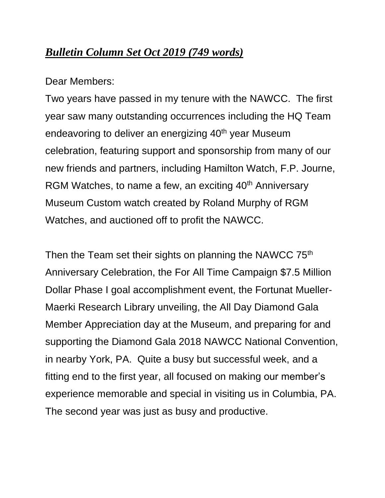# *Bulletin Column Set Oct 2019 (749 words)*

Dear Members:

Two years have passed in my tenure with the NAWCC. The first year saw many outstanding occurrences including the HQ Team endeavoring to deliver an energizing  $40<sup>th</sup>$  year Museum celebration, featuring support and sponsorship from many of our new friends and partners, including Hamilton Watch, F.P. Journe, RGM Watches, to name a few, an exciting 40<sup>th</sup> Anniversary Museum Custom watch created by Roland Murphy of RGM Watches, and auctioned off to profit the NAWCC.

Then the Team set their sights on planning the NAWCC 75<sup>th</sup> Anniversary Celebration, the For All Time Campaign \$7.5 Million Dollar Phase I goal accomplishment event, the Fortunat Mueller-Maerki Research Library unveiling, the All Day Diamond Gala Member Appreciation day at the Museum, and preparing for and supporting the Diamond Gala 2018 NAWCC National Convention, in nearby York, PA. Quite a busy but successful week, and a fitting end to the first year, all focused on making our member's experience memorable and special in visiting us in Columbia, PA. The second year was just as busy and productive.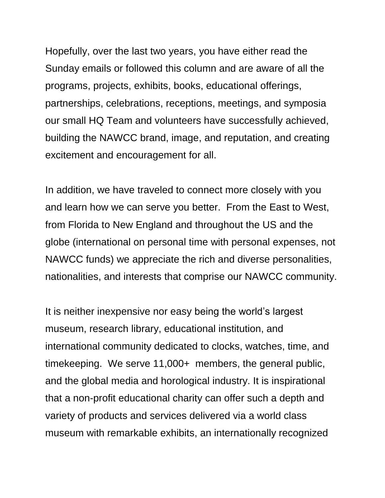Hopefully, over the last two years, you have either read the Sunday emails or followed this column and are aware of all the programs, projects, exhibits, books, educational offerings, partnerships, celebrations, receptions, meetings, and symposia our small HQ Team and volunteers have successfully achieved, building the NAWCC brand, image, and reputation, and creating excitement and encouragement for all.

In addition, we have traveled to connect more closely with you and learn how we can serve you better. From the East to West, from Florida to New England and throughout the US and the globe (international on personal time with personal expenses, not NAWCC funds) we appreciate the rich and diverse personalities, nationalities, and interests that comprise our NAWCC community.

It is neither inexpensive nor easy being the world's largest museum, research library, educational institution, and international community dedicated to clocks, watches, time, and timekeeping. We serve 11,000+ members, the general public, and the global media and horological industry. It is inspirational that a non-profit educational charity can offer such a depth and variety of products and services delivered via a world class museum with remarkable exhibits, an internationally recognized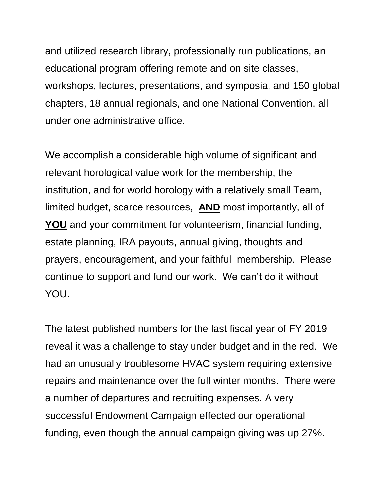and utilized research library, professionally run publications, an educational program offering remote and on site classes, workshops, lectures, presentations, and symposia, and 150 global chapters, 18 annual regionals, and one National Convention, all under one administrative office.

We accomplish a considerable high volume of significant and relevant horological value work for the membership, the institution, and for world horology with a relatively small Team, limited budget, scarce resources, **AND** most importantly, all of **YOU** and your commitment for volunteerism, financial funding, estate planning, IRA payouts, annual giving, thoughts and prayers, encouragement, and your faithful membership. Please continue to support and fund our work. We can't do it without YOU.

The latest published numbers for the last fiscal year of FY 2019 reveal it was a challenge to stay under budget and in the red. We had an unusually troublesome HVAC system requiring extensive repairs and maintenance over the full winter months. There were a number of departures and recruiting expenses. A very successful Endowment Campaign effected our operational funding, even though the annual campaign giving was up 27%.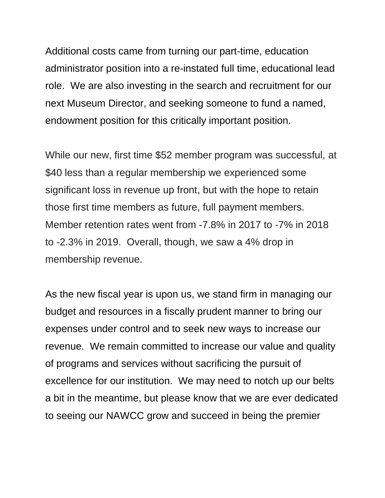Additional costs came from turning our part-time, education administrator position into a re-instated full time, educational lead role. We are also investing in the search and recruitment for our next Museum Director, and seeking someone to fund a named, endowment position for this critically important position.

While our new, first time \$52 member program was successful, at \$40 less than a regular membership we experienced some significant loss in revenue up front, but with the hope to retain those first time members as future, full payment members. Member retention rates went from -7.8% in 2017 to -7% in 2018 to -2.3% in 2019. Overall, though, we saw a 4% drop in membership revenue.

As the new fiscal year is upon us, we stand firm in managing our budget and resources in a fiscally prudent manner to bring our expenses under control and to seek new ways to increase our revenue. We remain committed to increase our value and quality of programs and services without sacrificing the pursuit of excellence for our institution. We may need to notch up our belts a bit in the meantime, but please know that we are ever dedicated to seeing our NAWCC grow and succeed in being the premier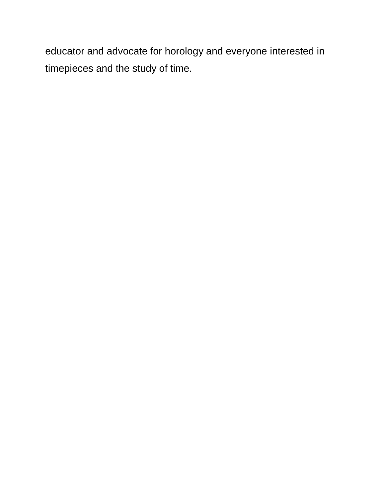educator and advocate for horology and everyone interested in timepieces and the study of time.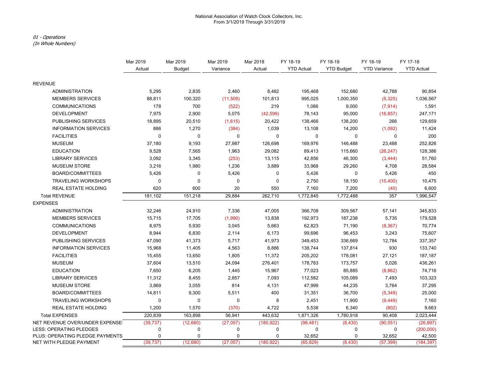#### National Association of Watch Clock Collectors, Inc. From 3/1/2019 Through 3/31/2019

#### 01 - Operations

(In Whole Numbers)

|                                 | Mar 2019    | Mar 2019      | Mar 2019  | Mar 2018    | FY 18-19          | FY 18-19          | FY 18-19            | FY 17-18          |
|---------------------------------|-------------|---------------|-----------|-------------|-------------------|-------------------|---------------------|-------------------|
|                                 | Actual      | <b>Budget</b> | Variance  | Actual      | <b>YTD Actual</b> | <b>YTD Budget</b> | <b>YTD Variance</b> | <b>YTD Actual</b> |
| <b>REVENUE</b>                  |             |               |           |             |                   |                   |                     |                   |
| <b>ADMINISTRATION</b>           | 5,295       | 2,835         | 2,460     | 8,482       | 195,468           | 152,680           | 42,788              | 90,854            |
| <b>MEMBERS SERVICES</b>         | 88,811      | 100,320       | (11,509)  | 101,813     | 995,025           | 1,000,350         | (5, 325)            | 1,036,567         |
| <b>COMMUNICATIONS</b>           | 178         | 700           | (522)     | 219         | 1,086             | 9,000             | (7, 914)            | 1,591             |
| <b>DEVELOPMENT</b>              | 7,975       | 2,900         | 5,075     | (42, 599)   | 78,143            | 95,000            | (16, 857)           | 247,171           |
| <b>PUBLISHING SERVICES</b>      | 18,895      | 20,510        | (1,615)   | 20,422      | 138,466           | 138,200           | 266                 | 129,659           |
| <b>INFORMATION SERVICES</b>     | 886         | 1,270         | (384)     | 1,039       | 13,108            | 14,200            | (1,092)             | 11,424            |
| <b>FACILITIES</b>               | $\mathbf 0$ | $\mathbf 0$   | 0         | $\mathbf 0$ | $\mathbf 0$       | 0                 | 0                   | 200               |
| <b>MUSEUM</b>                   | 37,180      | 9,193         | 27,987    | 126,698     | 169,976           | 146,488           | 23,488              | 252,826           |
| <b>EDUCATION</b>                | 9,528       | 7,565         | 1,963     | 29,082      | 89,413            | 115,660           | (26, 247)           | 128,386           |
| <b>LIBRARY SERVICES</b>         | 3,092       | 3,345         | (253)     | 13,115      | 42,856            | 46,300            | (3,444)             | 51,760            |
| <b>MUSEUM STORE</b>             | 3,216       | 1,980         | 1,236     | 3,889       | 33,968            | 29,260            | 4,708               | 28,584            |
| <b>BOARD/COMMITTEES</b>         | 5,426       | 0             | 5,426     | 0           | 5,426             | 0                 | 5,426               | 450               |
| <b>TRAVELING WORKSHOPS</b>      | $\mathbf 0$ | $\mathbf 0$   | 0         | 0           | 2,750             | 18,150            | (15, 400)           | 10,475            |
| <b>REAL ESTATE HOLDING</b>      | 620         | 600           | 20        | 550         | 7,160             | 7,200             | (40)                | 6,600             |
| <b>Total REVENUE</b>            | 181,102     | 151,218       | 29,884    | 262,710     | 1,772,845         | 1,772,488         | 357                 | 1,996,547         |
| <b>EXPENSES</b>                 |             |               |           |             |                   |                   |                     |                   |
| <b>ADMINISTRATION</b>           | 32,246      | 24,910        | 7,336     | 47,005      | 366,708           | 309,567           | 57,141              | 345,833           |
| <b>MEMBERS SERVICES</b>         | 15,715      | 17,705        | (1,990)   | 13,838      | 192,973           | 187,238           | 5,735               | 179,528           |
| <b>COMMUNICATIONS</b>           | 8,975       | 5,930         | 3,045     | 5,663       | 62,823            | 71,190            | (8, 367)            | 70,774            |
| <b>DEVELOPMENT</b>              | 8,944       | 6,830         | 2,114     | 6,173       | 99,696            | 96,453            | 3,243               | 75,607            |
| PUBLISHING SERVICES             | 47,090      | 41,373        | 5,717     | 41,973      | 349,453           | 336,669           | 12,784              | 337,357           |
| <b>INFORMATION SERVICES</b>     | 15,968      | 11,405        | 4,563     | 8,886       | 138,744           | 137,814           | 930                 | 133,740           |
| <b>FACILITIES</b>               | 15,455      | 13,650        | 1,805     | 11,372      | 205,202           | 178,081           | 27,121              | 187,187           |
| <b>MUSEUM</b>                   | 37,604      | 13,510        | 24,094    | 276,401     | 178,783           | 173,757           | 5,026               | 436,261           |
| <b>EDUCATION</b>                | 7,650       | 6,205         | 1,445     | 15,967      | 77,023            | 85,885            | (8,862)             | 74,716            |
| <b>LIBRARY SERVICES</b>         | 11,312      | 8,455         | 2,857     | 7,093       | 112,582           | 105,089           | 7,493               | 103,323           |
| <b>MUSEUM STORE</b>             | 3,869       | 3,055         | 814       | 4,131       | 47,999            | 44,235            | 3,764               | 37,295            |
| <b>BOARD/COMMITTEES</b>         | 14,811      | 9,300         | 5,511     | 400         | 31,351            | 36,700            | (5,349)             | 25,000            |
| <b>TRAVELING WORKSHOPS</b>      | $\pmb{0}$   | 0             | 0         | 8           | 2,451             | 11,900            | (9, 449)            | 7,160             |
| REAL ESTATE HOLDING             | 1,200       | 1,570         | (370)     | 4,722       | 5,538             | 6,340             | (802)               | 9,663             |
| <b>Total EXPENSES</b>           | 220,839     | 163,898       | 56,941    | 443,632     | 1,871,326         | 1,780,918         | 90,408              | 2,023,444         |
| NET REVENUE OVER/UNDER EXPENSE  | (39, 737)   | (12,680)      | (27, 057) | (180, 922)  | (98, 481)         | (8, 430)          | (90, 051)           | (26, 897)         |
| <b>LESS: OPERATING PLEDGES</b>  | 0           | 0             | 0         | 0           | $\mathbf 0$       | 0                 | 0                   | (200,000)         |
| PLUS: OPERATING PLEDGE PAYMENTS | 0           | 0             | 0         | 0           | 32,652            | 0                 | 32,652              | 42,500            |
| NET WITH PLEDGE PAYMENT         | (39, 737)   | (12,680)      | (27,057)  | (180, 922)  | (65, 829)         | (8,430)           | (57, 399)           | (184, 397)        |